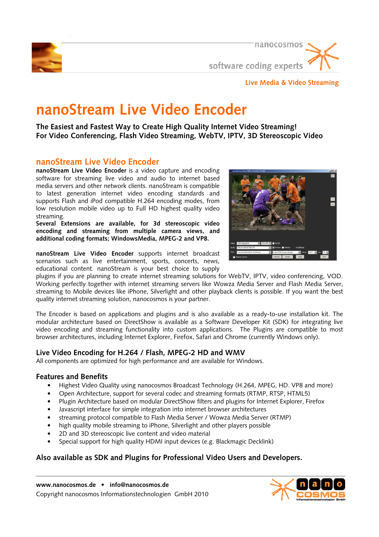

nanocosmos software coding experts

## **Live Media & Video Streaming**

# **nanoStream Live Video Encoder**

**The Easiest and Fastest Way to Create High Quality Internet Video Streaming! For Video Conferencing, Flash Video Streaming, WebTV, IPTV, 3D Stereoscopic Video** 

# **nanoStream Live Video Encoder**

**nanoStream Live Video Encoder** is a video capture and encoding software for streaming live video and audio to internet based media servers and other network clients. nanoStream is compatible to latest generation internet video encoding standards and supports Flash and iPod compatible H.264 encoding modes, from low resolution mobile video up to Full HD highest quality video streaming.

**Several Extensions are available, for 3d stereoscopic video encoding and streaming from multiple camera views, and additional coding formats; WindowsMedia, MPEG-2 and VP8.** 

**nanoStream Live Video Encoder** supports internet broadcast scenarios such as live entertainment, sports, concerts, news, educational content. nanoStream is your best choice to supply



plugins if you are planning to create internet streaming solutions for WebTV, IPTV, video conferencing, VOD. Working perfectly together with internet streaming servers like Wowza Media Server and Flash Media Server, streaming to Mobile devices like iPhone, Silverlight and other playback clients is possible. If you want the best quality internet streaming solution, nanocosmos is your partner.

The Encoder is based on applications and plugins and is also available as a ready-to-use installation kit. The modular architecture based on DirectShow is available as a Software Developer Kit (SDK) for integrating live video encoding and streaming functionality into custom applications. The Plugins are compatible to most browser architectures, including Internet Explorer, Firefox, Safari and Chrome (currently Windows only).

## **Live Video Encoding for H.264 / Flash, MPEG-2 HD and WMV**

All components are optimized for high performance and are available for Windows.

## **Features and Benefits**

- Highest Video Quality using nanocosmos Broadcast Technology (H.264, MPEG, HD. VP8 and more)
- Open Architecture, support for several codec and streaming formats (RTMP, RTSP, HTML5)
- Plugin Architecture based on modular DirectShow filters and plugins for Internet Explorer, Firefox
- Javascript interface for simple integration into internet browser architectures
- streaming protocol compatible to Flash Media Server / Wowza Media Server (RTMP)
- high quality mobile streaming to iPhone, Silverlight and other players possible
- 2D and 3D stereoscopic live content and video material
- Special support for high quality HDMI input devices (e.g. Blackmagic Decklink)

## **Also available as SDK and Plugins for Professional Video Users and Developers.**

**www.nanocosmos.de • info@nanocosmos.de**  Copyright nanocosmos Informationstechnologien GmbH 2010